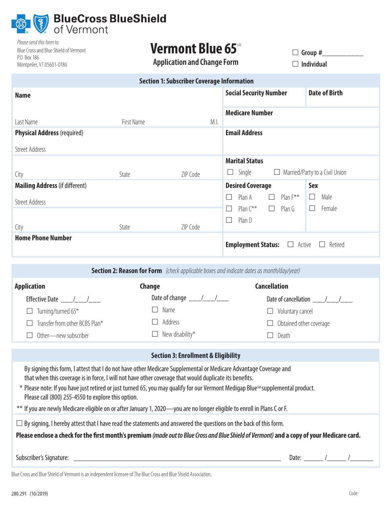

| Please send this form to:             |
|---------------------------------------|
| Blue Cross and Blue Shield of Vermont |
| P.O. Box 186                          |
| Montpelier, VT 05601-0186             |

# Vermont Blue 65<sup>SM</sup>

**Application and Change Form**

 **Group #\_\_\_\_\_\_\_\_\_\_ Individual**

| <b>Section 1: Subscriber Coverage Information</b> |            |          |                                                    |                          |  |  |  |
|---------------------------------------------------|------------|----------|----------------------------------------------------|--------------------------|--|--|--|
| <b>Name</b>                                       |            |          | <b>Social Security Number</b>                      | <b>Date of Birth</b>     |  |  |  |
| Last Name                                         | First Name | M.I.     | <b>Medicare Number</b>                             |                          |  |  |  |
| <b>Physical Address (required)</b>                |            |          | <b>Email Address</b>                               |                          |  |  |  |
| <b>Street Address</b>                             |            |          |                                                    |                          |  |  |  |
|                                                   |            |          | <b>Marital Status</b>                              |                          |  |  |  |
| City                                              | State      | ZIP Code | Single<br>Married/Party to a Civil Union<br>$\Box$ |                          |  |  |  |
| <b>Mailing Address (if different)</b>             |            |          | <b>Desired Coverage</b>                            | <b>Sex</b>               |  |  |  |
| <b>Street Address</b>                             |            |          | Plan $F^{\ast\ast}$<br>Plan A<br>П<br>$\Box$       | Male<br>$\Box$<br>Female |  |  |  |
|                                                   |            |          | Plan $C^{**}$<br>Plan G<br>$\Box$<br>$\mathsf{L}$  | $\perp$                  |  |  |  |
| City                                              | State      | ZIP Code | Plan D<br>$\mathsf{L}$                             |                          |  |  |  |
| <b>Home Phone Number</b>                          |            |          | <b>Employment Status:</b><br>Active                | Retired                  |  |  |  |

| <b>Section 2: Reason for Form</b> (check applicable boxes and indicate dates as month/day/year)                                                                                                                            |                              |                         |  |  |  |  |
|----------------------------------------------------------------------------------------------------------------------------------------------------------------------------------------------------------------------------|------------------------------|-------------------------|--|--|--|--|
| <b>Application</b>                                                                                                                                                                                                         | <b>Change</b>                | Cancellation            |  |  |  |  |
| <b>Effective Date</b>                                                                                                                                                                                                      | Date of change $\frac{1}{2}$ | Date of cancellation    |  |  |  |  |
| Turning/turned 65*                                                                                                                                                                                                         | Name                         | Voluntary cancel        |  |  |  |  |
| Transfer from other BCBS Plan*                                                                                                                                                                                             | Address                      | Obtained other coverage |  |  |  |  |
| Other—new subscriber                                                                                                                                                                                                       | New disability*              | Death                   |  |  |  |  |
|                                                                                                                                                                                                                            |                              |                         |  |  |  |  |
| <b>Section 3: Enrollment &amp; Eligibility</b>                                                                                                                                                                             |                              |                         |  |  |  |  |
| By signing this form, I attest that I do not have other Medicare Supplemental or Medicare Advantage Coverage and<br>that when this coverage is in force, I will not have other coverage that would duplicate its benefits. |                              |                         |  |  |  |  |
| * Please note: If you have just retired or just turned 65, you may qualify for our Vermont Medigap Blue <sup>sM</sup> supplemental product.<br>Please call (800) 255-4550 to explore this option.                          |                              |                         |  |  |  |  |
| ** If you are newly Medicare eligible on or after January 1, 2020—you are no longer eligible to enroll in Plans C or F.                                                                                                    |                              |                         |  |  |  |  |
|                                                                                                                                                                                                                            |                              |                         |  |  |  |  |

 $\Box$  By signing, I hereby attest that I have read the statements and answered the questions on the back of this form.

**Please enclose a check for the first month's premium***(made out to Blue Cross and Blue Shield of Vermont)* **and a copy of your Medicare card.**

Subscriber's Signature: \_\_\_\_\_\_\_\_\_\_\_\_\_\_\_\_\_\_\_\_\_\_\_\_\_\_\_\_\_\_\_\_\_\_\_\_\_\_\_\_\_\_\_\_\_\_\_\_\_\_\_\_\_\_ Date: \_\_\_\_\_ /\_\_\_\_\_ /\_\_\_\_\_\_

Blue Cross and Blue Shield of Vermont is an independent licensee of The Blue Cross and Blue Shield Association.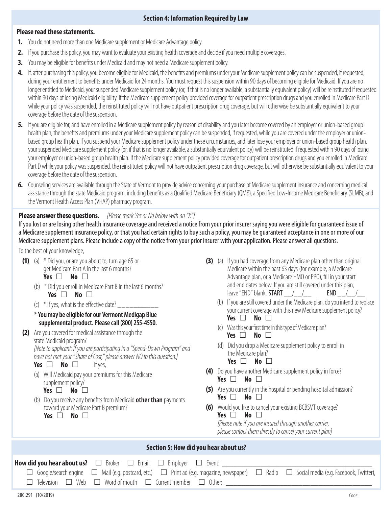## **Section 4: Information Required by Law**

### **Please read these statements.**

- **1.** You do not need more than one Medicare supplement or Medicare Advantage policy.
- **2.** If you purchase this policy, you may want to evaluate your existing health coverage and decide if you need multiple coverages.
- **3.** You may be eligible for benefits under Medicaid and may not need a Medicare supplement policy.
- **4.** If, after purchasing this policy, you become eligible for Medicaid, the benefits and premiums under your Medicare supplement policy can be suspended, if requested, during your entitlement to benefits under Medicaid for 24 months. You must request this suspension within 90 days of becoming eligible for Medicaid. If you are no longer entitled to Medicaid, your suspended Medicare supplement policy (or, if that is no longer available, a substantially equivalent policy) will be reinstituted if requested within 90 days of losing Medicaid eligibility. If the Medicare supplement policy provided coverage for outpatient prescription drugs and you enrolled in Medicare Part D while your policy was suspended, the reinstituted policy will not have outpatient prescription drug coverage, but will otherwise be substantially equivalent to your coverage before the date of the suspension.
- **5.** If you are eligible for, and have enrolled in a Medicare supplement policy by reason of disability and you later become covered by an employer or union-based group health plan, the benefits and premiums under your Medicare supplement policy can be suspended, if requested, while you are covered under the employer or unionbased group health plan. If you suspend your Medicare supplement policy under these circumstances, and later lose your employer or union-based group health plan, your suspended Medicare supplement policy (or, if that is no longer available, a substantially equivalent policy) will be reinstituted if requested within 90 days of losing your employer or union-based group health plan. If the Medicare supplement policy provided coverage for outpatient prescription drugs and you enrolled in Medicare Part D while your policy was suspended, the reinstituted policy will not have outpatient prescription drug coverage, but will otherwise be substantially equivalent to your coverage before the date of the suspension.
- **6.** Counseling services are available through the State of Vermont to provide advice concerning your purchase of Medicare supplement insurance and concerning medical assistance through the state Medicaid program, including benefits as a Qualified Medicare Beneficiary (QMB), a Specified Low-Income Medicare Beneficiary (SLMB), and the Vermont Health Access Plan (VHAP) pharmacy program.

## **Please answer these questions.** *[Please mark Yes or No below with an "X"]*

If you lost or are losing other health insurance coverage and received a notice from your prior insurer saying you were eligible for guaranteed issue of a Medicare supplement insurance policy, or that you had certain rights to buy such a policy, you may be guaranteed acceptance in one or more of our Medicare supplement plans. Please include a copy of the notice from your prior insurer with your application. Please answer all questions.

### To the best of your knowledge,

- (1) (a)  $*$  Did you, or are you about to, turn age 65 or get Medicare Part A in the last 6 months? **Yes**  $\Box$  **No**  $\Box$ 
	- (b) \* Did you enroll in Medicare Part B in the last 6 months? **Yes**  $\Box$  **No**  $\Box$
	- (c)  $*$  If yes, what is the effective date?
	- **\* You may be eligible for our Vermont Medigap Blue supplemental product. Please call (800) 255-4550.**
- (2) Are you covered for medical assistance through the state Medicaid program? *[Note to applicant: If you are participating in a "Spend-Down Program" and have not met your "Share of Cost," please answer NO to this question.]*
	- **Yes No I** If yes,
	- (a) Will Medicaid pay your premiums for this Medicare supplement policy?

**Yes** □ No □

- (b) Do you receive any benefits from Medicaid **other than** payments toward your Medicare Part B premium? **Yes**  $\Box$  **No**  $\Box$ 
	-
- (3) (a) If you had coverage from any Medicare plan other than original Medicare within the past 63 days (for example, a Medicare Advantage plan, or a Medicare HMO or PPO), fill in your start and end dates below. If you are still covered under this plan, leave "END" blank. **START**  $\qquad$  /  $\qquad$  **END**  $\qquad$  /
	- (b) If you are still covered under the Medicare plan, do you intend to replace your current coverage with this new Medicare supplement policy? **Yes No**
	- (c) Was this your first time in this type of Medicare plan? **Yes No**
	- (d) Did you drop a Medicare supplement policy to enroll in the Medicare plan? **Yes**  $\Box$  **No**  $\Box$
- (4) Do you have another Medicare supplement policy in force? **Yes** □ No □
- (5) Are you currently in the hospital or pending hospital admission? **Yes**  $\Box$  **No**  $\Box$
- (6) Would you like to cancel your existing BCBSVT coverage? **Yes**  $\Box$  **No**  $\Box$ *[Please note if you are insured through another carrier,*

*please contact them directly to cancel your current plan]*

## **Section 5: How did you hear about us?**

|  | $\Box$ Google/search engine $\Box$ Mail (e.g. postcard, etc.) $\Box$ Print ad (e.g. magazine, newspaper) $\Box$ Radio $\Box$ Social media (e.g. Facebook, Twitter), |  |
|--|---------------------------------------------------------------------------------------------------------------------------------------------------------------------|--|
|  | $\Box$ Television $\Box$ Web $\Box$ Word of mouth $\Box$ Current member $\Box$ Other:                                                                               |  |